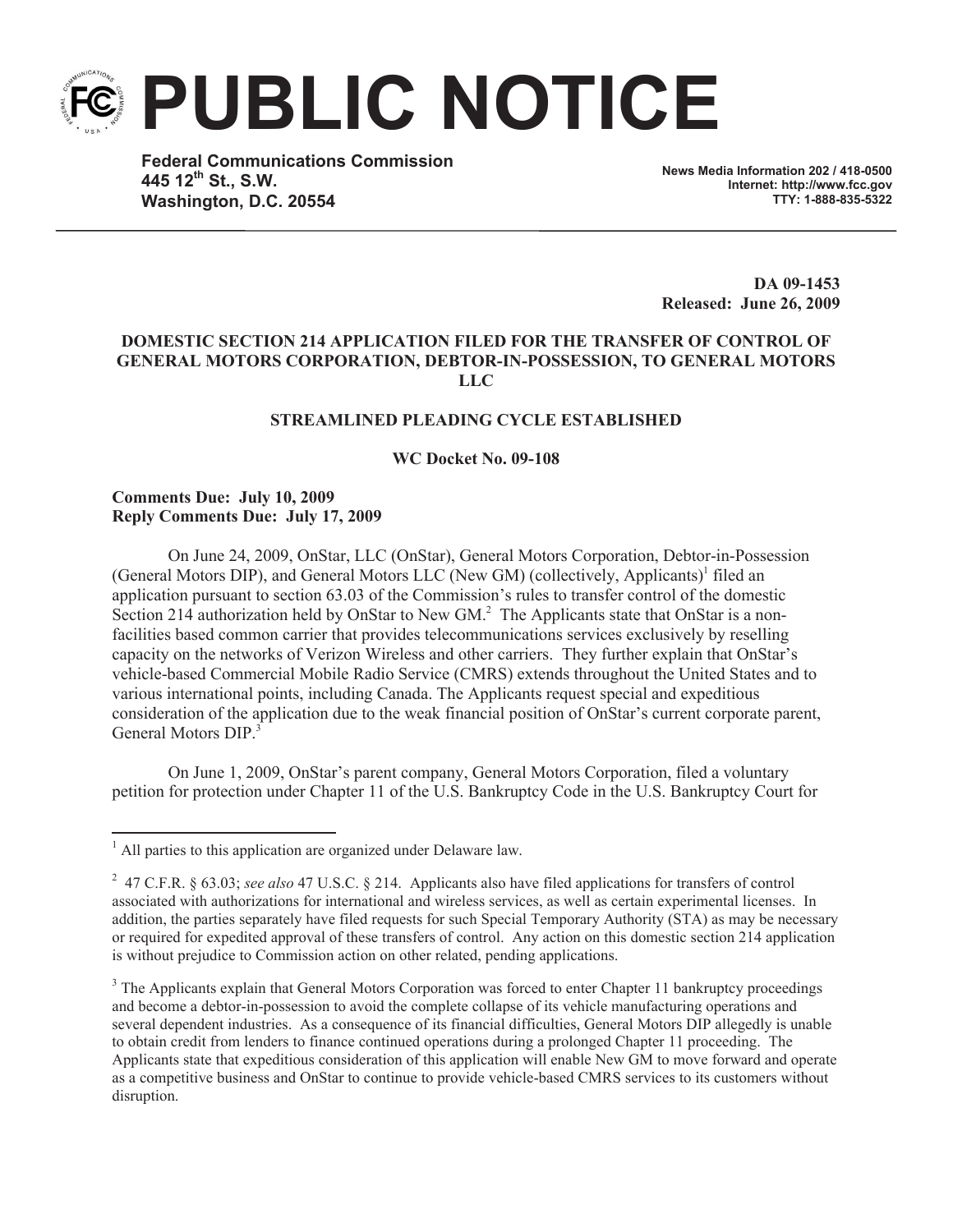**PUBLIC NOTICE**

**Federal Communications Commission 445 12th St., S.W. Washington, D.C. 20554**

**News Media Information 202 / 418-0500 Internet: http://www.fcc.gov TTY: 1-888-835-5322**

**DA 09-1453 Released: June 26, 2009**

## **DOMESTIC SECTION 214 APPLICATION FILED FOR THE TRANSFER OF CONTROL OF GENERAL MOTORS CORPORATION, DEBTOR-IN-POSSESSION, TO GENERAL MOTORS LLC**

## **STREAMLINED PLEADING CYCLE ESTABLISHED**

**WC Docket No. 09-108**

## **Comments Due: July 10, 2009 Reply Comments Due: July 17, 2009**

On June 24, 2009, OnStar, LLC (OnStar), General Motors Corporation, Debtor-in-Possession (General Motors DIP), and General Motors LLC (New GM) (collectively, Applicants)<sup>1</sup> filed an application pursuant to section 63.03 of the Commission's rules to transfer control of the domestic Section 214 authorization held by OnStar to New GM.<sup>2</sup> The Applicants state that OnStar is a nonfacilities based common carrier that provides telecommunications services exclusively by reselling capacity on the networks of Verizon Wireless and other carriers. They further explain that OnStar's vehicle-based Commercial Mobile Radio Service (CMRS) extends throughout the United States and to various international points, including Canada. The Applicants request special and expeditious consideration of the application due to the weak financial position of OnStar's current corporate parent, General Motors DIP<sup>3</sup>

On June 1, 2009, OnStar's parent company, General Motors Corporation, filed a voluntary petition for protection under Chapter 11 of the U.S. Bankruptcy Code in the U.S. Bankruptcy Court for

 $1$  All parties to this application are organized under Delaware law.

<sup>2</sup> 47 C.F.R. § 63.03; *see also* 47 U.S.C. § 214. Applicants also have filed applications for transfers of control associated with authorizations for international and wireless services, as well as certain experimental licenses. In addition, the parties separately have filed requests for such Special Temporary Authority (STA) as may be necessary or required for expedited approval of these transfers of control. Any action on this domestic section 214 application is without prejudice to Commission action on other related, pending applications.

<sup>&</sup>lt;sup>3</sup> The Applicants explain that General Motors Corporation was forced to enter Chapter 11 bankruptcy proceedings and become a debtor-in-possession to avoid the complete collapse of its vehicle manufacturing operations and several dependent industries. As a consequence of its financial difficulties, General Motors DIP allegedly is unable to obtain credit from lenders to finance continued operations during a prolonged Chapter 11 proceeding. The Applicants state that expeditious consideration of this application will enable New GM to move forward and operate as a competitive business and OnStar to continue to provide vehicle-based CMRS services to its customers without disruption.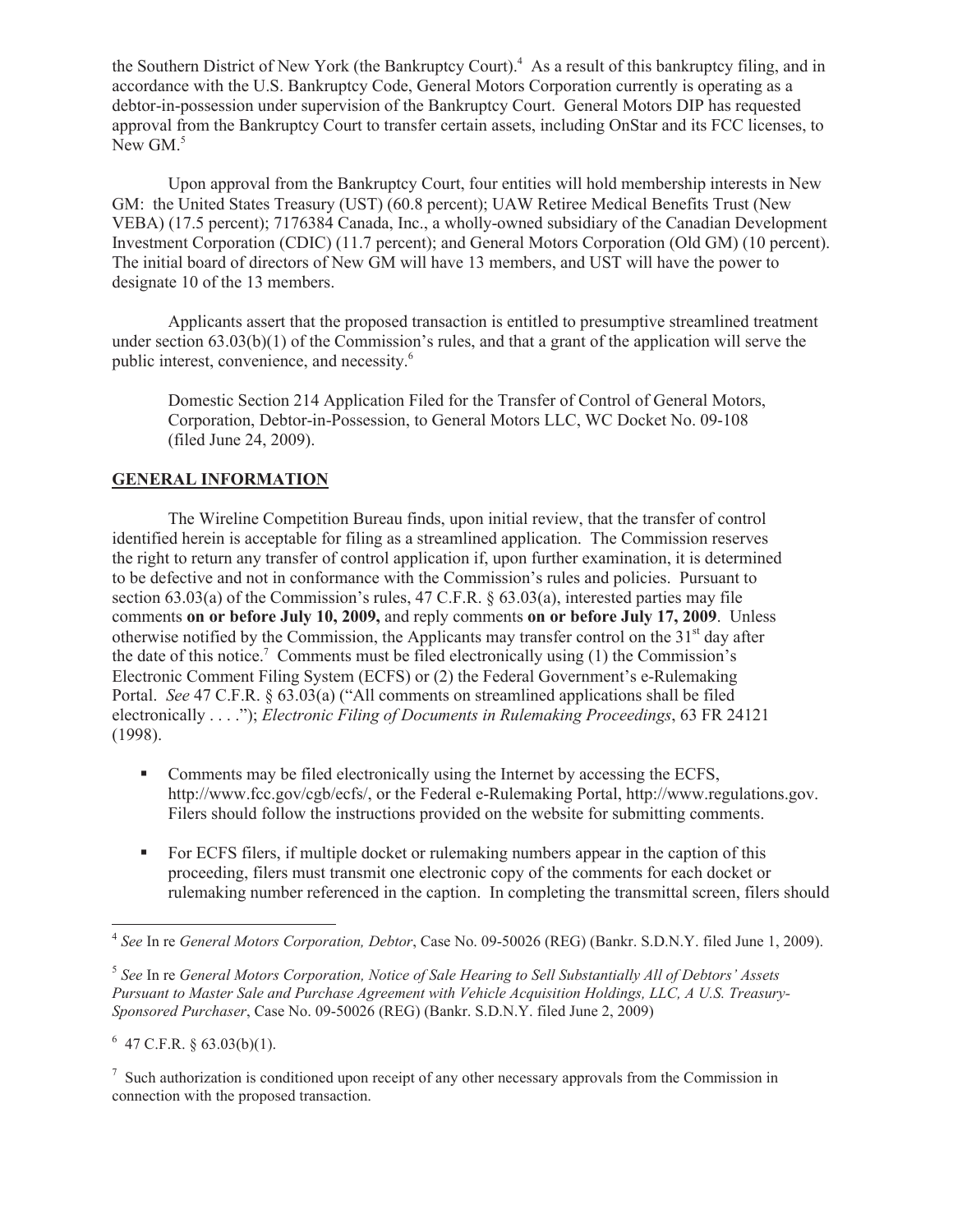the Southern District of New York (the Bankruptcy Court).<sup>4</sup> As a result of this bankruptcy filing, and in accordance with the U.S. Bankruptcy Code, General Motors Corporation currently is operating as a debtor-in-possession under supervision of the Bankruptcy Court. General Motors DIP has requested approval from the Bankruptcy Court to transfer certain assets, including OnStar and its FCC licenses, to New GM.<sup>5</sup>

Upon approval from the Bankruptcy Court, four entities will hold membership interests in New GM: the United States Treasury (UST) (60.8 percent); UAW Retiree Medical Benefits Trust (New VEBA) (17.5 percent); 7176384 Canada, Inc., a wholly-owned subsidiary of the Canadian Development Investment Corporation (CDIC) (11.7 percent); and General Motors Corporation (Old GM) (10 percent). The initial board of directors of New GM will have 13 members, and UST will have the power to designate 10 of the 13 members.

Applicants assert that the proposed transaction is entitled to presumptive streamlined treatment under section 63.03(b)(1) of the Commission's rules, and that a grant of the application will serve the public interest, convenience, and necessity. 6

Domestic Section 214 Application Filed for the Transfer of Control of General Motors, Corporation, Debtor-in-Possession, to General Motors LLC, WC Docket No. 09-108 (filed June 24, 2009).

# **GENERAL INFORMATION**

The Wireline Competition Bureau finds, upon initial review, that the transfer of control identified herein is acceptable for filing as a streamlined application. The Commission reserves the right to return any transfer of control application if, upon further examination, it is determined to be defective and not in conformance with the Commission's rules and policies. Pursuant to section 63.03(a) of the Commission's rules, 47 C.F.R.  $\S$  63.03(a), interested parties may file comments **on or before July 10, 2009,** and reply comments **on or before July 17, 2009**. Unless otherwise notified by the Commission, the Applicants may transfer control on the  $31<sup>st</sup>$  day after the date of this notice.<sup>7</sup> Comments must be filed electronically using  $(1)$  the Commission's Electronic Comment Filing System (ECFS) or (2) the Federal Government's e-Rulemaking Portal. *See* 47 C.F.R. § 63.03(a) ("All comments on streamlined applications shall be filed electronically . . . ."); *Electronic Filing of Documents in Rulemaking Proceedings*, 63 FR 24121 (1998).

- Comments may be filed electronically using the Internet by accessing the ECFS, http://www.fcc.gov/cgb/ecfs/, or the Federal e-Rulemaking Portal, http://www.regulations.gov. Filers should follow the instructions provided on the website for submitting comments.
- For ECFS filers, if multiple docket or rulemaking numbers appear in the caption of this proceeding, filers must transmit one electronic copy of the comments for each docket or rulemaking number referenced in the caption. In completing the transmittal screen, filers should

 $6$  47 C.F.R. § 63.03(b)(1).

 $<sup>7</sup>$  Such authorization is conditioned upon receipt of any other necessary approvals from the Commission in</sup> connection with the proposed transaction.

<sup>4</sup> *See* In re *General Motors Corporation, Debtor*, Case No. 09-50026 (REG) (Bankr. S.D.N.Y. filed June 1, 2009).

<sup>5</sup> *See* In re *General Motors Corporation, Notice of Sale Hearing to Sell Substantially All of Debtors' Assets Pursuant to Master Sale and Purchase Agreement with Vehicle Acquisition Holdings, LLC, A U.S. Treasury-Sponsored Purchaser*, Case No. 09-50026 (REG) (Bankr. S.D.N.Y. filed June 2, 2009)